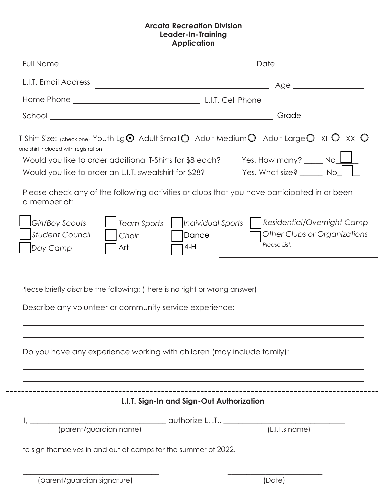## **Arcata Recreation Division Leader-In-Training Application**

| L.I.T. Email Address                                                                                                                                                                                                                                                                                                                                                                                |                                                                                                                                                                                                                                                                                                                                                                                                                                                                                     |
|-----------------------------------------------------------------------------------------------------------------------------------------------------------------------------------------------------------------------------------------------------------------------------------------------------------------------------------------------------------------------------------------------------|-------------------------------------------------------------------------------------------------------------------------------------------------------------------------------------------------------------------------------------------------------------------------------------------------------------------------------------------------------------------------------------------------------------------------------------------------------------------------------------|
|                                                                                                                                                                                                                                                                                                                                                                                                     |                                                                                                                                                                                                                                                                                                                                                                                                                                                                                     |
| $\begin{tabular}{c} School \hspace{0.03cm} \hspace{0.03cm} \textbf{1} & \hspace{0.03cm} \textbf{1} & \hspace{0.03cm} \textbf{1} & \hspace{0.03cm} \textbf{1} & \hspace{0.03cm} \textbf{1} & \hspace{0.03cm} \textbf{1} & \hspace{0.03cm} \textbf{1} & \hspace{0.03cm} \textbf{1} & \hspace{0.03cm} \textbf{1} & \hspace{0.03cm} \textbf{1} & \hspace{0.03cm} \textbf{1} & \hspace{0.03cm} \textbf{$ | Grade _______________                                                                                                                                                                                                                                                                                                                                                                                                                                                               |
| one shirt included with registration<br>Would you like to order an L.I.T. sweatshirt for \$28?<br>a member of:<br>Girl/Boy Scouts<br>Team Sports<br><b>Student Council</b><br>Choir<br>Day Camp<br>Art<br>Please briefly discribe the following: (There is no right or wrong answer)                                                                                                                | T-Shirt Size: (check one) Youth Lg $\odot$ Adult Small $\odot$ Adult Medium $\odot$ Adult Large $\odot$ XL $\odot$ XXL $\odot$<br>Would you like to order additional T-Shirts for \$8 each? Yes. How many? $\_\_\_$ No $\_\_\_\_$<br>Yes. What size? _______ No_L<br>Please check any of the following activities or clubs that you have participated in or been<br>Residential/Overnight Camp<br>Individual Sports<br>Other Clubs or Organizations<br>Dance<br>Please List:<br>4-H |
| Describe any volunteer or community service experience:                                                                                                                                                                                                                                                                                                                                             |                                                                                                                                                                                                                                                                                                                                                                                                                                                                                     |
| Do you have any experience working with children (may include family):                                                                                                                                                                                                                                                                                                                              |                                                                                                                                                                                                                                                                                                                                                                                                                                                                                     |
|                                                                                                                                                                                                                                                                                                                                                                                                     | L.I.T. Sign-In and Sign-Out Authorization                                                                                                                                                                                                                                                                                                                                                                                                                                           |
|                                                                                                                                                                                                                                                                                                                                                                                                     |                                                                                                                                                                                                                                                                                                                                                                                                                                                                                     |
| to sign themselves in and out of camps for the summer of 2022.                                                                                                                                                                                                                                                                                                                                      |                                                                                                                                                                                                                                                                                                                                                                                                                                                                                     |
| (parent/guardian signature)                                                                                                                                                                                                                                                                                                                                                                         | (Date)                                                                                                                                                                                                                                                                                                                                                                                                                                                                              |